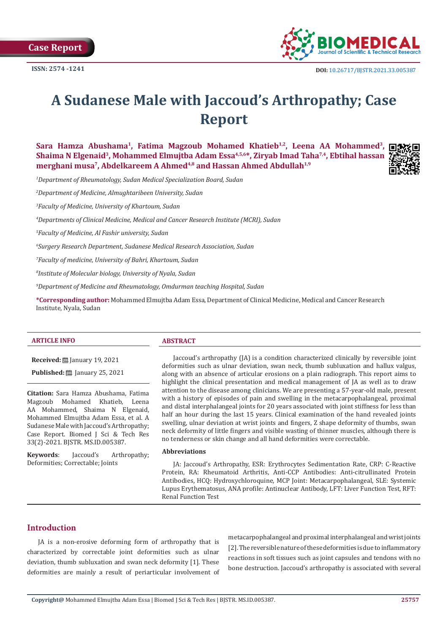

# **A Sudanese Male with Jaccoud's Arthropathy; Case Report**

Sara Hamza Abushama<sup>1</sup>, Fatima Magzoub Mohamed Khatieb<sup>1,2</sup>, Leena AA Mohammed<sup>3</sup>, Shaima N Elgenaid<sup>3</sup>, Mohammed Elmuitba Adam Essa<sup>4,5,6\*</sup>, Zirvab Imad Taha<sup>7,4</sup>, Ebtihal hassan **merghani musa<sup>7</sup>, Abdelkareem A Ahmed<sup>4,8</sup> and Hassan Ahmed Abdullah<sup>1,9</sup>** 



*1 Department of Rheumatology, Sudan Medical Specialization Board, Sudan*

*2 Department of Medicine, Almughtaribeen University, Sudan*

*3 Faculty of Medicine, University of Khartoum, Sudan*

*4 Departments of Clinical Medicine, Medical and Cancer Research Institute (MCRI), Sudan*

*5 Faculty of Medicine, Al Fashir university, Sudan*

*6 Surgery Research Department, Sudanese Medical Research Association, Sudan*

*7 Faculty of medicine, University of Bahri, Khartoum, Sudan*

*8 Institute of Molecular biology, University of Nyala, Sudan*

*9 Department of Medicine and Rheumatology, Omdurman teaching Hospital, Sudan*

**\*Corresponding author:** Mohammed Elmujtba Adam Essa, Department of Clinical Medicine, Medical and Cancer Research Institute, Nyala, Sudan

### **ARTICLE INFO ABSTRACT**

**Received:** ■ January 19, 2021

**Published:** ■ January 25, 2021

**Citation:** Sara Hamza Abushama, Fatima Magzoub Mohamed Khatieb, Leena AA Mohammed, Shaima N Elgenaid, Mohammed Elmujtba Adam Essa, et al. A Sudanese Male with Jaccoud's Arthropathy; Case Report. Biomed J Sci & Tech Res 33(2)-2021. BJSTR. MS.ID.005387.

**Keywords**: Jaccoud's Arthropathy; Deformities; Correctable; Joints

Jaccoud's arthropathy (JA) is a condition characterized clinically by reversible joint deformities such as ulnar deviation, swan neck, thumb subluxation and hallux valgus, along with an absence of articular erosions on a plain radiograph. This report aims to highlight the clinical presentation and medical management of JA as well as to draw attention to the disease among clinicians. We are presenting a 57-year-old male, present with a history of episodes of pain and swelling in the metacarpophalangeal, proximal and distal interphalangeal joints for 20 years associated with joint stiffness for less than half an hour during the last 15 years. Clinical examination of the hand revealed joints swelling, ulnar deviation at wrist joints and fingers, Z shape deformity of thumbs, swan neck deformity of little fingers and visible wasting of thinner muscles, although there is no tenderness or skin change and all hand deformities were correctable.

#### **Abbreviations**

JA: Jaccoud's Arthropathy, ESR: Erythrocytes Sedimentation Rate, CRP: C-Reactive Protein, RA: Rheumatoid Arthritis, Anti-CCP Antibodies: Anti-citrullinated Protein Antibodies, HCQ: Hydroxychloroquine, MCP Joint: Metacarpophalangeal, SLE: Systemic Lupus Erythematosus, ANA profile: Antinuclear Antibody, LFT: Liver Function Test, RFT: Renal Function Test

# **Introduction**

JA is a non-erosive deforming form of arthropathy that is characterized by correctable joint deformities such as ulnar deviation, thumb subluxation and swan neck deformity [1]. These deformities are mainly a result of periarticular involvement of metacarpophalangeal and proximal interphalangeal and wrist joints [2]. The reversible nature of these deformities is due to inflammatory reactions in soft tissues such as joint capsules and tendons with no bone destruction. Jaccoud's arthropathy is associated with several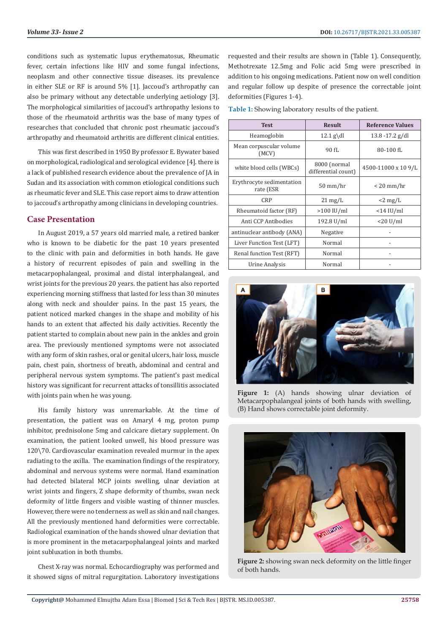conditions such as systematic lupus erythematosus, Rheumatic fever, certain infections like HIV and some fungal infections, neoplasm and other connective tissue diseases. its prevalence in either SLE or RF is around 5% [1]. Jaccoud's arthropathy can also be primary without any detectable underlying aetiology [3]. The morphological similarities of jaccoud's arthropathy lesions to those of the rheumatoid arthritis was the base of many types of researches that concluded that chronic post rheumatic jaccoud's arthropathy and rheumatoid arthritis are different clinical entities.

This was first described in 1950 By professor E. Bywater based on morphological, radiological and serological evidence [4]. there is a lack of published research evidence about the prevalence of JA in Sudan and its association with common etiological conditions such as rheumatic fever and SLE. This case report aims to draw attention to jaccoud's arthropathy among clinicians in developing countries.

# **Case Presentation**

In August 2019, a 57 years old married male, a retired banker who is known to be diabetic for the past 10 years presented to the clinic with pain and deformities in both hands. He gave a history of recurrent episodes of pain and swelling in the metacarpophalangeal, proximal and distal interphalangeal, and wrist joints for the previous 20 years. the patient has also reported experiencing morning stiffness that lasted for less than 30 minutes along with neck and shoulder pains. In the past 15 years, the patient noticed marked changes in the shape and mobility of his hands to an extent that affected his daily activities. Recently the patient started to complain about new pain in the ankles and groin area. The previously mentioned symptoms were not associated with any form of skin rashes, oral or genital ulcers, hair loss, muscle pain, chest pain, shortness of breath, abdominal and central and peripheral nervous system symptoms. The patient's past medical history was significant for recurrent attacks of tonsillitis associated with joints pain when he was young.

His family history was unremarkable. At the time of presentation, the patient was on Amaryl 4 mg, proton pump inhibitor, prednisolone 5mg and calcicare dietary supplement. On examination, the patient looked unwell, his blood pressure was 120\70. Cardiovascular examination revealed murmur in the apex radiating to the axilla. The examination findings of the respiratory, abdominal and nervous systems were normal. Hand examination had detected bilateral MCP joints swelling, ulnar deviation at wrist joints and fingers, Z shape deformity of thumbs, swan neck deformity of little fingers and visible wasting of thinner muscles. However, there were no tenderness as well as skin and nail changes. All the previously mentioned hand deformities were correctable. Radiological examination of the hands showed ulnar deviation that is more prominent in the metacarpophalangeal joints and marked joint subluxation in both thumbs.

Chest X-ray was normal. Echocardiography was performed and it showed signs of mitral regurgitation. Laboratory investigations requested and their results are shown in (Table 1). Consequently, Methotrexate 12.5mg and Folic acid 5mg were prescribed in addition to his ongoing medications. Patient now on well condition and regular follow up despite of presence the correctable joint deformities (Figures 1-4).

**Table 1:** Showing laboratory results of the patient.

| <b>Test</b>                            | <b>Result</b>                       | <b>Reference Values</b> |
|----------------------------------------|-------------------------------------|-------------------------|
| Heamoglobin                            | $12.1$ g\dl                         | $13.8 - 17.2$ g/dl      |
| Mean corpuscular volume<br>(MCV)       | 90 fl.                              | 80-100 fL               |
| white blood cells (WBCs)               | 8000 (normal<br>differential count) | 4500-11000 x 10 9/L     |
| Erythrocyte sedimentation<br>rate (ESR | 50 mm/hr                            | < 20 mm/hr              |
| <b>CRP</b>                             | $21 \text{ mg/L}$                   | $<$ 2 mg/L              |
| Rheumatoid factor (RF)                 | $>100$ IU/ml                        | $<$ 14 IU/ml            |
| Anti CCP Antibodies                    | 192.8 U/ml                          | $<$ 20 U/ml             |
| antinuclear antibody (ANA)             | Negative                            |                         |
| Liver Function Test (LFT)              | Normal                              |                         |
| Renal function Test (RFT)              | Normal                              |                         |
| Urine Analysis                         | Normal                              |                         |



Figure 1: (A) hands showing ulnar deviation of Metacarpophalangeal joints of both hands with swelling, (B) Hand shows correctable joint deformity.



**Figure 2:** showing swan neck deformity on the little finger of both hands.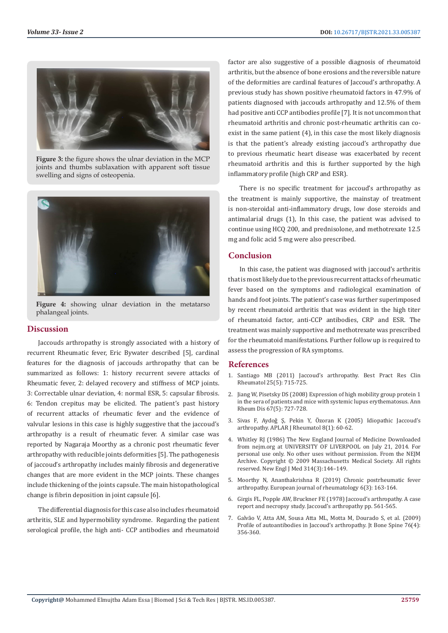

**Figure 3:** the figure shows the ulnar deviation in the MCP joints and thumbs sublaxation with apparent soft tissue swelling and signs of osteopenia.



**Figure 4:** showing ulnar deviation in the metatarso phalangeal joints.

#### **Discussion**

Jaccouds arthropathy is strongly associated with a history of recurrent Rheumatic fever, Eric Bywater described [5], cardinal features for the diagnosis of jaccouds arthropathy that can be summarized as follows: 1: history recurrent severe attacks of Rheumatic fever, 2: delayed recovery and stiffness of MCP joints. 3: Correctable ulnar deviation, 4: normal ESR, 5: capsular fibrosis. 6: Tendon crepitus may be elicited. The patient's past history of recurrent attacks of rheumatic fever and the evidence of valvular lesions in this case is highly suggestive that the jaccoud's arthropathy is a result of rheumatic fever. A similar case was reported by Nagaraja Moorthy as a chronic post rheumatic fever arthropathy with reducible joints deformities [5]. The pathogenesis of jaccoud's arthropathy includes mainly fibrosis and degenerative changes that are more evident in the MCP joints. These changes include thickening of the joints capsule. The main histopathological change is fibrin deposition in joint capsule [6].

The differential diagnosis for this case also includes rheumatoid arthritis, SLE and hypermobility syndrome. Regarding the patient serological profile, the high anti- CCP antibodies and rheumatoid factor are also suggestive of a possible diagnosis of rheumatoid arthritis, but the absence of bone erosions and the reversible nature of the deformities are cardinal features of Jaccoud's arthropathy. A previous study has shown positive rheumatoid factors in 47.9% of patients diagnosed with jaccouds arthropathy and 12.5% of them had positive anti CCP antibodies profile [7]. It is not uncommon that rheumatoid arthritis and chronic post-rheumatic arthritis can coexist in the same patient (4), in this case the most likely diagnosis is that the patient's already existing jaccoud's arthropathy due to previous rheumatic heart disease was exacerbated by recent rheumatoid arthritis and this is further supported by the high inflammatory profile (high CRP and ESR).

There is no specific treatment for jaccoud's arthropathy as the treatment is mainly supportive, the mainstay of treatment is non-steroidal anti-inflammatory drugs, low dose steroids and antimalarial drugs (1), In this case, the patient was advised to continue using HCQ 200, and prednisolone, and methotrexate 12.5 mg and folic acid 5 mg were also prescribed.

## **Conclusion**

In this case, the patient was diagnosed with jaccoud's arthritis that is most likely due to the previous recurrent attacks of rheumatic fever based on the symptoms and radiological examination of hands and foot joints. The patient's case was further superimposed by recent rheumatoid arthritis that was evident in the high titer of rheumatoid factor, anti-CCP antibodies, CRP and ESR. The treatment was mainly supportive and methotrexate was prescribed for the rheumatoid manifestations. Further follow up is required to assess the progression of RA symptoms.

### **References**

- 1. Santiago MB (2011) Jaccoud's arthropathy. Best Pract Res Clin Rheumatol 25(5): 715-725.
- 2. [Jiang W, Pisetsky DS \(2008\) Expression of high mobility group protein 1](https://pubmed.ncbi.nlm.nih.gov/18408114/) [in the sera of patients and mice with systemic lupus erythematosus. Ann](https://pubmed.ncbi.nlm.nih.gov/18408114/) [Rheum Dis 67\(5\): 727-728.](https://pubmed.ncbi.nlm.nih.gov/18408114/)
- 3. [Sivas F, Aydoǧ Ş, Pekin Y, Özoran K \(2005\) Idiopathic Jaccoud's](https://onlinelibrary.wiley.com/doi/abs/10.1111/j.1479-8077.2005.00123.x) [arthropathy. APLAR J Rheumatol 8\(1\): 60-62.](https://onlinelibrary.wiley.com/doi/abs/10.1111/j.1479-8077.2005.00123.x)
- 4. Whitley RJ (1986) The New England Journal of Medicine Downloaded from nejm.org at UNIVERSITY OF LIVERPOOL on July 21, 2014. For personal use only. No other uses without permission. From the NEJM Archive. Copyright © 2009 Massachusetts Medical Society. All rights reserved. New Engl J Med 314(3):144–149.
- 5. [Moorthy N, Ananthakrishna R \(2019\) Chronic postrheumatic fever](https://www.ncbi.nlm.nih.gov/pmc/articles/PMC6668640/) [arthropathy. European journal of rheumatology 6\(3\): 163-164.](https://www.ncbi.nlm.nih.gov/pmc/articles/PMC6668640/)
- 6. [Girgis FL, Popple AW, Bruckner FE \(1978\) Jaccoud's arthropathy. A case](https://europepmc.org/article/med/749703) [report and necropsy study. Jaccoud's arthropathy pp. 561-565.](https://europepmc.org/article/med/749703)
- 7. [Galvão V, Atta AM, Sousa Atta ML, Motta M, Dourado S, et al. \(2009\)](https://pubmed.ncbi.nlm.nih.gov/19278880/) [Profile of autoantibodies in Jaccoud's arthropathy. Jt Bone Spine 76\(4\):](https://pubmed.ncbi.nlm.nih.gov/19278880/) [356-360.](https://pubmed.ncbi.nlm.nih.gov/19278880/)